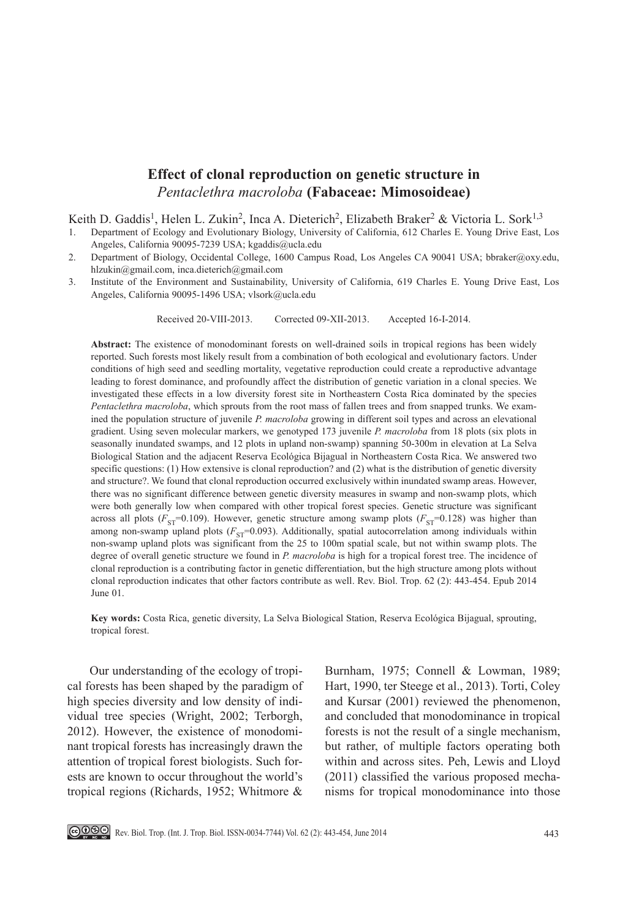# **Effect of clonal reproduction on genetic structure in**  *Pentaclethra macroloba* **(Fabaceae: Mimosoideae)**

Keith D. Gaddis<sup>1</sup>, Helen L. Zukin<sup>2</sup>, Inca A. Dieterich<sup>2</sup>, Elizabeth Braker<sup>2</sup> & Victoria L. Sork<sup>1,3</sup>

- 1. Department of Ecology and Evolutionary Biology, University of California, 612 Charles E. Young Drive East, Los Angeles, California 90095-7239 USA; kgaddis@ucla.edu
- 2. Department of Biology, Occidental College, 1600 Campus Road, Los Angeles CA 90041 USA; bbraker@oxy.edu, hlzukin@gmail.com, inca.dieterich@gmail.com
- 3. Institute of the Environment and Sustainability, University of California, 619 Charles E. Young Drive East, Los Angeles, California 90095-1496 USA; vlsork@ucla.edu

Received 20-VIII-2013. Corrected 09-XII-2013. Accepted 16-I-2014.

**Abstract:** The existence of monodominant forests on well-drained soils in tropical regions has been widely reported. Such forests most likely result from a combination of both ecological and evolutionary factors. Under conditions of high seed and seedling mortality, vegetative reproduction could create a reproductive advantage leading to forest dominance, and profoundly affect the distribution of genetic variation in a clonal species. We investigated these effects in a low diversity forest site in Northeastern Costa Rica dominated by the species *Pentaclethra macroloba*, which sprouts from the root mass of fallen trees and from snapped trunks. We examined the population structure of juvenile *P. macroloba* growing in different soil types and across an elevational gradient. Using seven molecular markers, we genotyped 173 juvenile *P. macroloba* from 18 plots (six plots in seasonally inundated swamps, and 12 plots in upland non-swamp) spanning 50-300m in elevation at La Selva Biological Station and the adjacent Reserva Ecológica Bijagual in Northeastern Costa Rica. We answered two specific questions: (1) How extensive is clonal reproduction? and (2) what is the distribution of genetic diversity and structure?. We found that clonal reproduction occurred exclusively within inundated swamp areas. However, there was no significant difference between genetic diversity measures in swamp and non-swamp plots, which were both generally low when compared with other tropical forest species. Genetic structure was significant across all plots ( $F_{ST}$ =0.109). However, genetic structure among swamp plots ( $F_{ST}$ =0.128) was higher than among non-swamp upland plots  $(F<sub>ST</sub>=0.093)$ . Additionally, spatial autocorrelation among individuals within non-swamp upland plots was significant from the 25 to 100m spatial scale, but not within swamp plots. The degree of overall genetic structure we found in *P. macroloba* is high for a tropical forest tree. The incidence of clonal reproduction is a contributing factor in genetic differentiation, but the high structure among plots without clonal reproduction indicates that other factors contribute as well. Rev. Biol. Trop. 62 (2): 443-454. Epub 2014 June 01.

**Key words:** Costa Rica, genetic diversity, La Selva Biological Station, Reserva Ecológica Bijagual, sprouting, tropical forest.

Our understanding of the ecology of tropical forests has been shaped by the paradigm of high species diversity and low density of individual tree species (Wright, 2002; Terborgh, 2012). However, the existence of monodominant tropical forests has increasingly drawn the attention of tropical forest biologists. Such forests are known to occur throughout the world's tropical regions (Richards, 1952; Whitmore &

Burnham, 1975; Connell & Lowman, 1989; Hart, 1990, ter Steege et al., 2013). Torti, Coley and Kursar (2001) reviewed the phenomenon, and concluded that monodominance in tropical forests is not the result of a single mechanism, but rather, of multiple factors operating both within and across sites. Peh, Lewis and Lloyd (2011) classified the various proposed mechanisms for tropical monodominance into those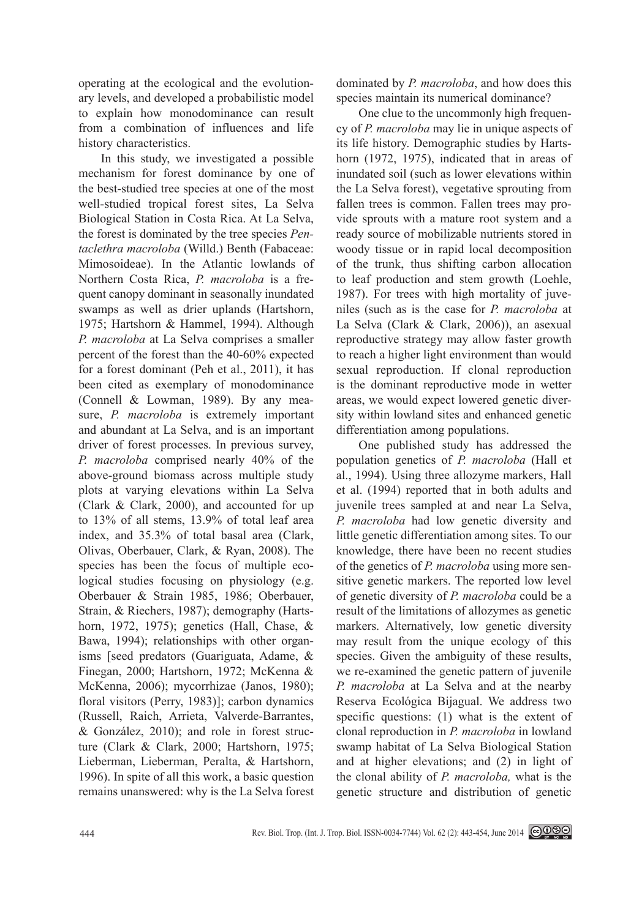operating at the ecological and the evolutionary levels, and developed a probabilistic model to explain how monodominance can result from a combination of influences and life history characteristics.

In this study, we investigated a possible mechanism for forest dominance by one of the best-studied tree species at one of the most well-studied tropical forest sites, La Selva Biological Station in Costa Rica. At La Selva, the forest is dominated by the tree species *Pentaclethra macroloba* (Willd.) Benth (Fabaceae: Mimosoideae). In the Atlantic lowlands of Northern Costa Rica, *P. macroloba* is a frequent canopy dominant in seasonally inundated swamps as well as drier uplands (Hartshorn, 1975; Hartshorn & Hammel, 1994). Although *P. macroloba* at La Selva comprises a smaller percent of the forest than the 40-60% expected for a forest dominant (Peh et al., 2011), it has been cited as exemplary of monodominance (Connell & Lowman, 1989). By any measure, *P. macroloba* is extremely important and abundant at La Selva, and is an important driver of forest processes. In previous survey, *P. macroloba* comprised nearly 40% of the above-ground biomass across multiple study plots at varying elevations within La Selva (Clark & Clark, 2000), and accounted for up to 13% of all stems, 13.9% of total leaf area index, and 35.3% of total basal area (Clark, Olivas, Oberbauer, Clark, & Ryan, 2008). The species has been the focus of multiple ecological studies focusing on physiology (e.g. Oberbauer & Strain 1985, 1986; Oberbauer, Strain, & Riechers, 1987); demography (Hartshorn, 1972, 1975); genetics (Hall, Chase, & Bawa, 1994); relationships with other organisms [seed predators (Guariguata, Adame, & Finegan, 2000; Hartshorn, 1972; McKenna & McKenna, 2006); mycorrhizae (Janos, 1980); floral visitors (Perry, 1983)]; carbon dynamics (Russell, Raich, Arrieta, Valverde-Barrantes, & González, 2010); and role in forest structure (Clark & Clark, 2000; Hartshorn, 1975; Lieberman, Lieberman, Peralta, & Hartshorn, 1996). In spite of all this work, a basic question remains unanswered: why is the La Selva forest

dominated by *P. macroloba*, and how does this species maintain its numerical dominance?

One clue to the uncommonly high frequency of *P. macroloba* may lie in unique aspects of its life history. Demographic studies by Hartshorn (1972, 1975), indicated that in areas of inundated soil (such as lower elevations within the La Selva forest), vegetative sprouting from fallen trees is common. Fallen trees may provide sprouts with a mature root system and a ready source of mobilizable nutrients stored in woody tissue or in rapid local decomposition of the trunk, thus shifting carbon allocation to leaf production and stem growth (Loehle, 1987). For trees with high mortality of juveniles (such as is the case for *P. macroloba* at La Selva (Clark & Clark, 2006)), an asexual reproductive strategy may allow faster growth to reach a higher light environment than would sexual reproduction. If clonal reproduction is the dominant reproductive mode in wetter areas, we would expect lowered genetic diversity within lowland sites and enhanced genetic differentiation among populations.

One published study has addressed the population genetics of *P. macroloba* (Hall et al., 1994). Using three allozyme markers, Hall et al. (1994) reported that in both adults and juvenile trees sampled at and near La Selva, *P. macroloba* had low genetic diversity and little genetic differentiation among sites. To our knowledge, there have been no recent studies of the genetics of *P. macroloba* using more sensitive genetic markers. The reported low level of genetic diversity of *P. macroloba* could be a result of the limitations of allozymes as genetic markers. Alternatively, low genetic diversity may result from the unique ecology of this species. Given the ambiguity of these results, we re-examined the genetic pattern of juvenile *P. macroloba* at La Selva and at the nearby Reserva Ecológica Bijagual. We address two specific questions: (1) what is the extent of clonal reproduction in *P. macroloba* in lowland swamp habitat of La Selva Biological Station and at higher elevations; and (2) in light of the clonal ability of *P. macroloba,* what is the genetic structure and distribution of genetic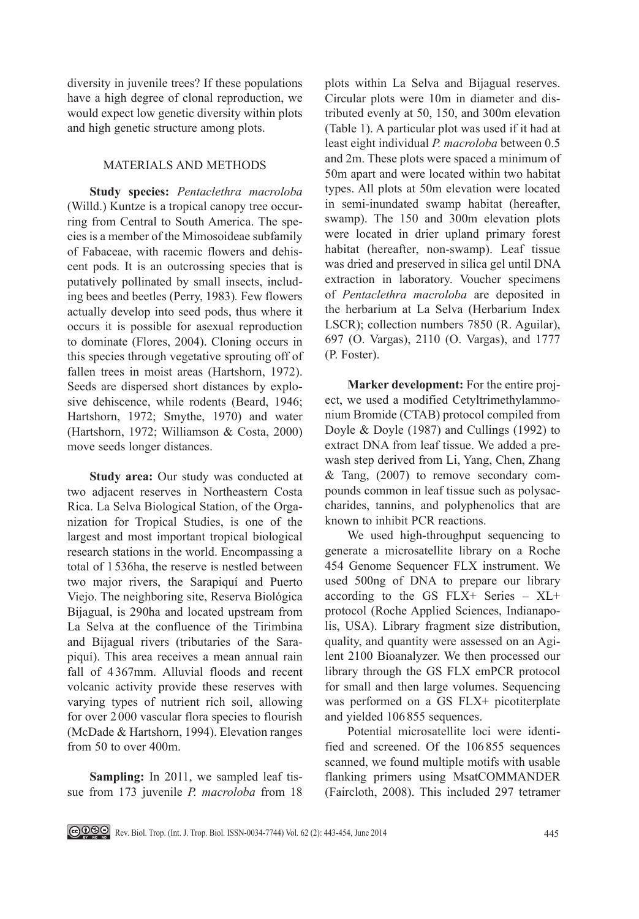diversity in juvenile trees? If these populations have a high degree of clonal reproduction, we would expect low genetic diversity within plots and high genetic structure among plots.

# MATERIALS AND METHODS

**Study species:** *Pentaclethra macroloba* (Willd.) Kuntze is a tropical canopy tree occurring from Central to South America. The species is a member of the Mimosoideae subfamily of Fabaceae, with racemic flowers and dehiscent pods. It is an outcrossing species that is putatively pollinated by small insects, including bees and beetles (Perry, 1983)*.* Few flowers actually develop into seed pods, thus where it occurs it is possible for asexual reproduction to dominate (Flores, 2004). Cloning occurs in this species through vegetative sprouting off of fallen trees in moist areas (Hartshorn, 1972). Seeds are dispersed short distances by explosive dehiscence, while rodents (Beard, 1946; Hartshorn, 1972; Smythe, 1970) and water (Hartshorn, 1972; Williamson & Costa, 2000) move seeds longer distances.

**Study area:** Our study was conducted at two adjacent reserves in Northeastern Costa Rica. La Selva Biological Station, of the Organization for Tropical Studies, is one of the largest and most important tropical biological research stations in the world. Encompassing a total of 1 536ha, the reserve is nestled between two major rivers, the Sarapiquí and Puerto Viejo. The neighboring site, Reserva Biológica Bijagual, is 290ha and located upstream from La Selva at the confluence of the Tirimbina and Bijagual rivers (tributaries of the Sarapiquí). This area receives a mean annual rain fall of 4 367mm. Alluvial floods and recent volcanic activity provide these reserves with varying types of nutrient rich soil, allowing for over 2 000 vascular flora species to flourish (McDade & Hartshorn, 1994). Elevation ranges from 50 to over 400m.

**Sampling:** In 2011, we sampled leaf tissue from 173 juvenile *P. macroloba* from 18

plots within La Selva and Bijagual reserves. Circular plots were 10m in diameter and distributed evenly at 50, 150, and 300m elevation (Table 1). A particular plot was used if it had at least eight individual *P. macroloba* between 0.5 and 2m. These plots were spaced a minimum of 50m apart and were located within two habitat types. All plots at 50m elevation were located in semi-inundated swamp habitat (hereafter, swamp). The 150 and 300m elevation plots were located in drier upland primary forest habitat (hereafter, non-swamp). Leaf tissue was dried and preserved in silica gel until DNA extraction in laboratory. Voucher specimens of *Pentaclethra macroloba* are deposited in the herbarium at La Selva (Herbarium Index LSCR); collection numbers 7850 (R. Aguilar), 697 (O. Vargas), 2110 (O. Vargas), and 1777 (P. Foster).

**Marker development:** For the entire project, we used a modified Cetyltrimethylammonium Bromide (CTAB) protocol compiled from Doyle & Doyle (1987) and Cullings (1992) to extract DNA from leaf tissue. We added a prewash step derived from Li, Yang, Chen, Zhang & Tang, (2007) to remove secondary compounds common in leaf tissue such as polysaccharides, tannins, and polyphenolics that are known to inhibit PCR reactions.

We used high-throughput sequencing to generate a microsatellite library on a Roche 454 Genome Sequencer FLX instrument. We used 500ng of DNA to prepare our library according to the GS FLX+ Series – XL+ protocol (Roche Applied Sciences, Indianapolis, USA). Library fragment size distribution, quality, and quantity were assessed on an Agilent 2100 Bioanalyzer. We then processed our library through the GS FLX emPCR protocol for small and then large volumes. Sequencing was performed on a GS FLX+ picotiterplate and yielded 106855 sequences.

Potential microsatellite loci were identified and screened. Of the 106 855 sequences scanned, we found multiple motifs with usable flanking primers using MsatCOMMANDER (Faircloth, 2008). This included 297 tetramer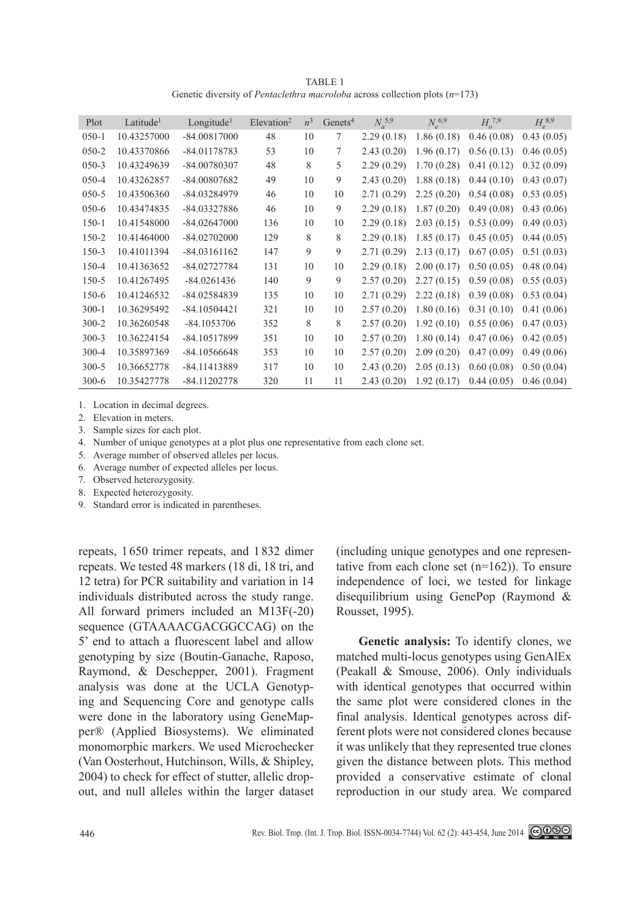TABLE 1 Genetic diversity of *Pentaclethra macroloba* across collection plots (*n*=173)

| Plot      | Latitude <sup>1</sup> | Longitude <sup>1</sup> | $E$ levation <sup>2</sup> | $n^3$ | Genets <sup>4</sup> | $N_a^{5,9}$ | $N_e^{6,9}$ | $H^{7,9}$  | $H_{a}^{8,9}$ |
|-----------|-----------------------|------------------------|---------------------------|-------|---------------------|-------------|-------------|------------|---------------|
| $050 - 1$ | 10.43257000           | $-84.00817000$         | 48                        | 10    | 7                   | 2.29(0.18)  | 1.86(0.18)  | 0.46(0.08) | 0.43(0.05)    |
| $050 - 2$ | 10.43370866           | $-84.01178783$         | 53                        | 10    | 7                   | 2.43(0.20)  | 1.96(0.17)  | 0.56(0.13) | 0.46(0.05)    |
| $050-3$   | 10.43249639           | -84.00780307           | 48                        | 8     | 5                   | 2.29(0.29)  | 1.70(0.28)  | 0.41(0.12) | 0.32(0.09)    |
| $050 - 4$ | 10.43262857           | -84.00807682           | 49                        | 10    | 9                   | 2.43(0.20)  | 1.88(0.18)  | 0.44(0.10) | 0.43(0.07)    |
| $050 - 5$ | 10.43506360           | -84.03284979           | 46                        | 10    | 10                  | 2.71(0.29)  | 2.25(0.20)  | 0.54(0.08) | 0.53(0.05)    |
| $050-6$   | 10.43474835           | -84.03327886           | 46                        | 10    | 9                   | 2.29(0.18)  | 1.87(0.20)  | 0.49(0.08) | 0.43(0.06)    |
| $150 - 1$ | 10.41548000           | $-84.02647000$         | 136                       | 10    | 10                  | 2.29(0.18)  | 2.03(0.15)  | 0.53(0.09) | 0.49(0.03)    |
| 150-2     | 10.41464000           | $-84.02702000$         | 129                       | 8     | 8                   | 2.29(0.18)  | 1.85(0.17)  | 0.45(0.05) | 0.44(0.05)    |
| $150-3$   | 10.41011394           | $-84.03161162$         | 147                       | 9     | 9                   | 2.71(0.29)  | 2.13(0.17)  | 0.67(0.05) | 0.51(0.03)    |
| 150-4     | 10.41363652           | $-84.02727784$         | 131                       | 10    | 10                  | 2.29(0.18)  | 2.00(0.17)  | 0.50(0.05) | 0.48(0.04)    |
| $150 - 5$ | 10.41267495           | $-84.0261436$          | 140                       | 9     | 9                   | 2.57(0.20)  | 2.27(0.15)  | 0.59(0.08) | 0.55(0.03)    |
| $150-6$   | 10.41246532           | -84.02584839           | 135                       | 10    | 10                  | 2.71(0.29)  | 2.22(0.18)  | 0.39(0.08) | 0.53(0.04)    |
| $300 - 1$ | 10.36295492           | $-84.10504421$         | 321                       | 10    | 10                  | 2.57(0.20)  | 1.80(0.16)  | 0.31(0.10) | 0.41(0.06)    |
| $300 - 2$ | 10.36260548           | $-84.1053706$          | 352                       | 8     | 8                   | 2.57(0.20)  | 1.92(0.10)  | 0.55(0.06) | 0.47(0.03)    |
| $300 - 3$ | 10.36224154           | -84.10517899           | 351                       | 10    | 10                  | 2.57(0.20)  | 1.80(0.14)  | 0.47(0.06) | 0.42(0.05)    |
| $300 - 4$ | 10.35897369           | $-84.10566648$         | 353                       | 10    | 10                  | 2.57(0.20)  | 2.09(0.20)  | 0.47(0.09) | 0.49(0.06)    |
| $300 - 5$ | 10.36652778           | -84.11413889           | 317                       | 10    | 10                  | 2.43(0.20)  | 2.05(0.13)  | 0.60(0.08) | 0.50(0.04)    |
| $300-6$   | 10.35427778           | -84.11202778           | 320                       | 11    | 11                  | 2.43(0.20)  | 1.92(0.17)  | 0.44(0.05) | 0.46(0.04)    |

1. Location in decimal degrees.

2. Elevation in meters.

3. Sample sizes for each plot.

4. Number of unique genotypes at a plot plus one representative from each clone set.

5. Average number of observed alleles per locus.

- 6. Average number of expected alleles per locus.
- 7. Observed heterozygosity.
- 8. Expected heterozygosity.
- 9. Standard error is indicated in parentheses.

repeats, 1650 trimer repeats, and 1 832 dimer repeats. We tested 48 markers (18 di, 18 tri, and 12 tetra) for PCR suitability and variation in 14 individuals distributed across the study range. All forward primers included an M13F(-20) sequence (GTAAAACGACGGCCAG) on the 5' end to attach a fluorescent label and allow genotyping by size (Boutin-Ganache, Raposo, Raymond, & Deschepper, 2001). Fragment analysis was done at the UCLA Genotyping and Sequencing Core and genotype calls were done in the laboratory using GeneMapper® (Applied Biosystems). We eliminated monomorphic markers. We used Microchecker (Van Oosterhout, Hutchinson, Wills, & Shipley, 2004) to check for effect of stutter, allelic dropout, and null alleles within the larger dataset (including unique genotypes and one representative from each clone set  $(n=162)$ ). To ensure independence of loci, we tested for linkage disequilibrium using GenePop (Raymond & Rousset, 1995).

**Genetic analysis:** To identify clones, we matched multi-locus genotypes using GenAlEx (Peakall & Smouse, 2006). Only individuals with identical genotypes that occurred within the same plot were considered clones in the final analysis. Identical genotypes across different plots were not considered clones because it was unlikely that they represented true clones given the distance between plots. This method provided a conservative estimate of clonal reproduction in our study area. We compared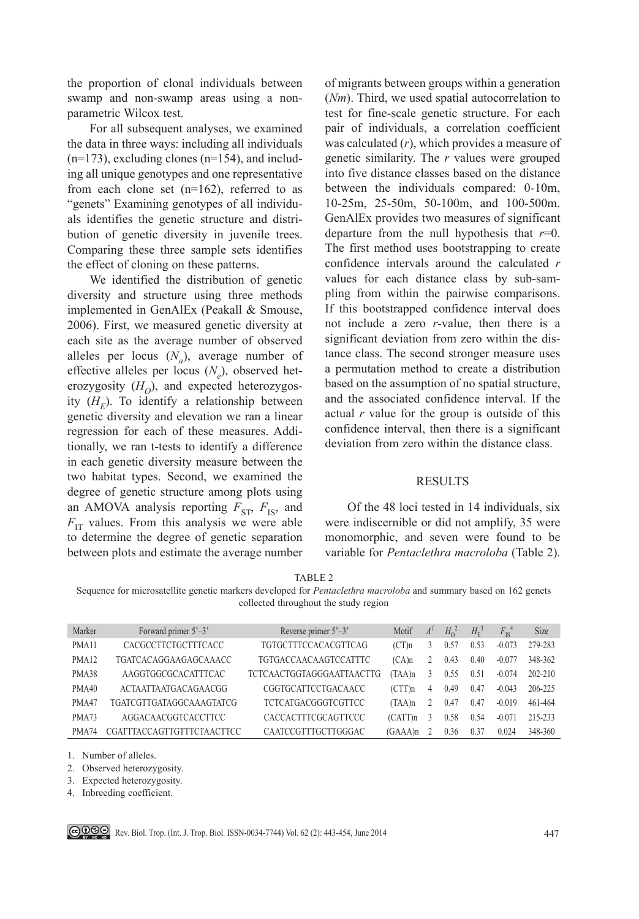the proportion of clonal individuals between swamp and non-swamp areas using a nonparametric Wilcox test.

For all subsequent analyses, we examined the data in three ways: including all individuals  $(n=173)$ , excluding clones  $(n=154)$ , and including all unique genotypes and one representative from each clone set  $(n=162)$ , referred to as "genets" Examining genotypes of all individuals identifies the genetic structure and distribution of genetic diversity in juvenile trees. Comparing these three sample sets identifies the effect of cloning on these patterns.

We identified the distribution of genetic diversity and structure using three methods implemented in GenAlEx (Peakall & Smouse, 2006). First, we measured genetic diversity at each site as the average number of observed alleles per locus  $(N_a)$ , average number of effective alleles per locus (N<sub>e</sub>), observed heterozygosity  $(H<sub>O</sub>)$ , and expected heterozygosity  $(H_F)$ . To identify a relationship between genetic diversity and elevation we ran a linear regression for each of these measures. Additionally, we ran t-tests to identify a difference in each genetic diversity measure between the two habitat types. Second, we examined the degree of genetic structure among plots using an AMOVA analysis reporting  $F_{ST}$ ,  $F_{IS}$ , and  $F_{\text{IT}}$  values. From this analysis we were able to determine the degree of genetic separation between plots and estimate the average number

of migrants between groups within a generation (*Nm*). Third, we used spatial autocorrelation to test for fine-scale genetic structure. For each pair of individuals, a correlation coefficient was calculated (*r*), which provides a measure of genetic similarity. The *r* values were grouped into five distance classes based on the distance between the individuals compared: 0-10m, 10-25m, 25-50m, 50-100m, and 100-500m. GenAlEx provides two measures of significant departure from the null hypothesis that *r*=0. The first method uses bootstrapping to create confidence intervals around the calculated *r* values for each distance class by sub-sampling from within the pairwise comparisons. If this bootstrapped confidence interval does not include a zero *r-*value, then there is a significant deviation from zero within the distance class. The second stronger measure uses a permutation method to create a distribution based on the assumption of no spatial structure, and the associated confidence interval. If the actual *r* value for the group is outside of this confidence interval, then there is a significant deviation from zero within the distance class.

#### **RESULTS**

Of the 48 loci tested in 14 individuals, six were indiscernible or did not amplify, 35 were monomorphic, and seven were found to be variable for *Pentaclethra macroloba* (Table 2).

Sequence for microsatellite genetic markers developed for *Pentaclethra macroloba* and summary based on 162 genets collected throughout the study region

| Marker            | Forward primer $5^{\degree}-3^{\degree}$ | Reverse primer $5^{\degree}-3^{\degree}$ | Motif    | $A^I$ | $H_0^2$ | $H_{\rm E}^3$ | $F_{\rm{re}}^4$ | <b>Size</b> |
|-------------------|------------------------------------------|------------------------------------------|----------|-------|---------|---------------|-----------------|-------------|
| PMA <sub>11</sub> | CACGCCTTCTGCTTTCACC                      | TGTGCTTTCCACACGTTCAG                     | (CTn)    |       | 0.57    | 0.53          | $-0.073$        | 279-283     |
| PMA <sub>12</sub> | TGATCACAGGAAGAGCAAACC                    | <b>TGTGACCAACAAGTCCATTTC</b>             | $(CA)$ n |       | 0.43    | 0.40          | $-0.077$        | 348-362     |
| PMA38             | AAGGTGGCGCACATTTCAC                      | TCTCAACTGGTAGGGAATTAACTTG                | (TAA)n   | 3     | 0.55    | 0.51          | $-0.074$        | 202-210     |
| PMA40             | <b>ACTAATTAATGACAGAACGG</b>              | CGGTGCATTCCTGACAACC                      | (CTT)n   | 4     | 0.49    | 0.47          | $-0.043$        | 206-225     |
| PMA47             | TGATCGTTGATAGGCAAAGTATCG                 | <b>TCTCATGACGGGTCGTTCC</b>               | (TAA)n   |       | 0.47    | 0.47          | $-0.019$        | 461-464     |
| PMA73             | AGGACAACGGTCACCTTCC                      | CACCACTTTCGCAGTTCCC                      | (CATT)n  |       | 0.58    | 0.54          | $-0.071$        | 215-233     |
| PMA74             | CGATTTACCAGTTGTTTCTAACTTCC               | CAATCCGTTTGCTTGGGAC                      | (GAAA)n  |       | 0.36    | 0.37          | 0.024           | 348-360     |

1. Number of alleles.

2. Observed heterozygosity.

3. Expected heterozygosity.

4. Inbreeding coefficient.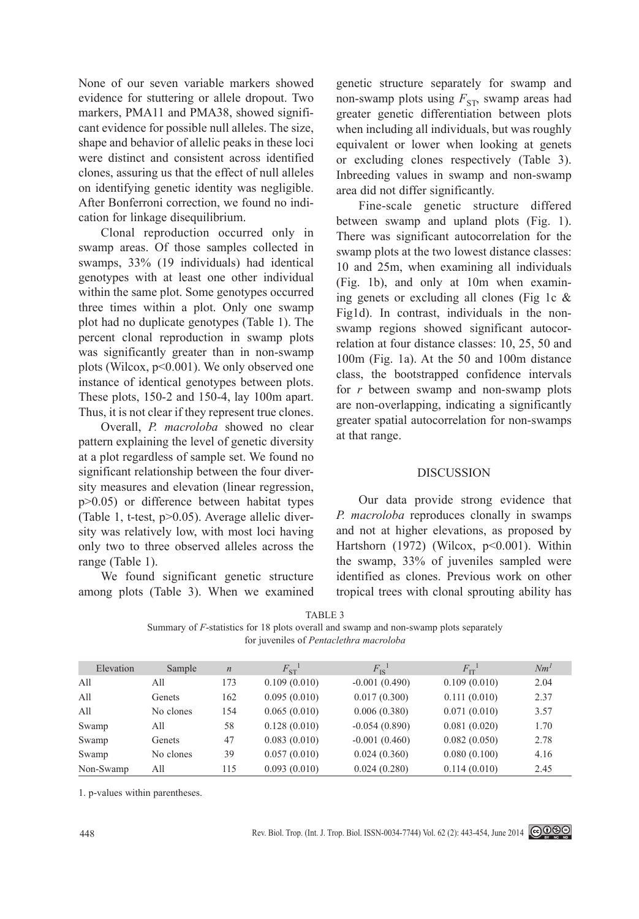None of our seven variable markers showed evidence for stuttering or allele dropout. Two markers, PMA11 and PMA38, showed significant evidence for possible null alleles. The size, shape and behavior of allelic peaks in these loci were distinct and consistent across identified clones, assuring us that the effect of null alleles on identifying genetic identity was negligible. After Bonferroni correction, we found no indication for linkage disequilibrium.

Clonal reproduction occurred only in swamp areas. Of those samples collected in swamps, 33% (19 individuals) had identical genotypes with at least one other individual within the same plot. Some genotypes occurred three times within a plot. Only one swamp plot had no duplicate genotypes (Table 1). The percent clonal reproduction in swamp plots was significantly greater than in non-swamp plots (Wilcox, p<0.001). We only observed one instance of identical genotypes between plots. These plots, 150-2 and 150-4, lay 100m apart. Thus, it is not clear if they represent true clones.

Overall, *P. macroloba* showed no clear pattern explaining the level of genetic diversity at a plot regardless of sample set. We found no significant relationship between the four diversity measures and elevation (linear regression, p>0.05) or difference between habitat types (Table 1, t-test, p>0.05). Average allelic diversity was relatively low, with most loci having only two to three observed alleles across the range (Table 1).

We found significant genetic structure among plots (Table 3). When we examined genetic structure separately for swamp and non-swamp plots using  $F_{ST}$ , swamp areas had greater genetic differentiation between plots when including all individuals, but was roughly equivalent or lower when looking at genets or excluding clones respectively (Table 3). Inbreeding values in swamp and non-swamp area did not differ significantly.

Fine-scale genetic structure differed between swamp and upland plots (Fig. 1). There was significant autocorrelation for the swamp plots at the two lowest distance classes: 10 and 25m, when examining all individuals (Fig. 1b), and only at 10m when examining genets or excluding all clones (Fig 1c  $\&$ Fig1d). In contrast, individuals in the nonswamp regions showed significant autocorrelation at four distance classes: 10, 25, 50 and 100m (Fig. 1a). At the 50 and 100m distance class, the bootstrapped confidence intervals for *r* between swamp and non-swamp plots are non-overlapping, indicating a significantly greater spatial autocorrelation for non-swamps at that range.

# DISCUSSION

Our data provide strong evidence that *P. macroloba* reproduces clonally in swamps and not at higher elevations, as proposed by Hartshorn (1972) (Wilcox, p<0.001). Within the swamp, 33% of juveniles sampled were identified as clones. Previous work on other tropical trees with clonal sprouting ability has

|--|--|

| Summary of F-statistics for 18 plots overall and swamp and non-swamp plots separately |  |
|---------------------------------------------------------------------------------------|--|
| for juveniles of <i>Pentaclethra macroloba</i>                                        |  |

| Elevation | Sample    | $\boldsymbol{n}$ | $F_{\rm ST}^{-1}$ | $F_{\rm IS}^{-1}$ | $F_{\text{IT}}^{-1}$ | Nm <sup>1</sup> |
|-----------|-----------|------------------|-------------------|-------------------|----------------------|-----------------|
| All       | All       | 173              | 0.109(0.010)      | $-0.001(0.490)$   | 0.109(0.010)         | 2.04            |
| All       | Genets    | 162              | 0.095(0.010)      | 0.017(0.300)      | 0.111(0.010)         | 2.37            |
| All       | No clones | 154              | 0.065(0.010)      | 0.006(0.380)      | 0.071(0.010)         | 3.57            |
| Swamp     | All       | 58               | 0.128(0.010)      | $-0.054(0.890)$   | 0.081(0.020)         | 1.70            |
| Swamp     | Genets    | 47               | 0.083(0.010)      | $-0.001(0.460)$   | 0.082(0.050)         | 2.78            |
| Swamp     | No clones | 39               | 0.057(0.010)      | 0.024(0.360)      | 0.080(0.100)         | 4.16            |
| Non-Swamp | All       | 115              | 0.093(0.010)      | 0.024(0.280)      | 0.114(0.010)         | 2.45            |

1. p-values within parentheses.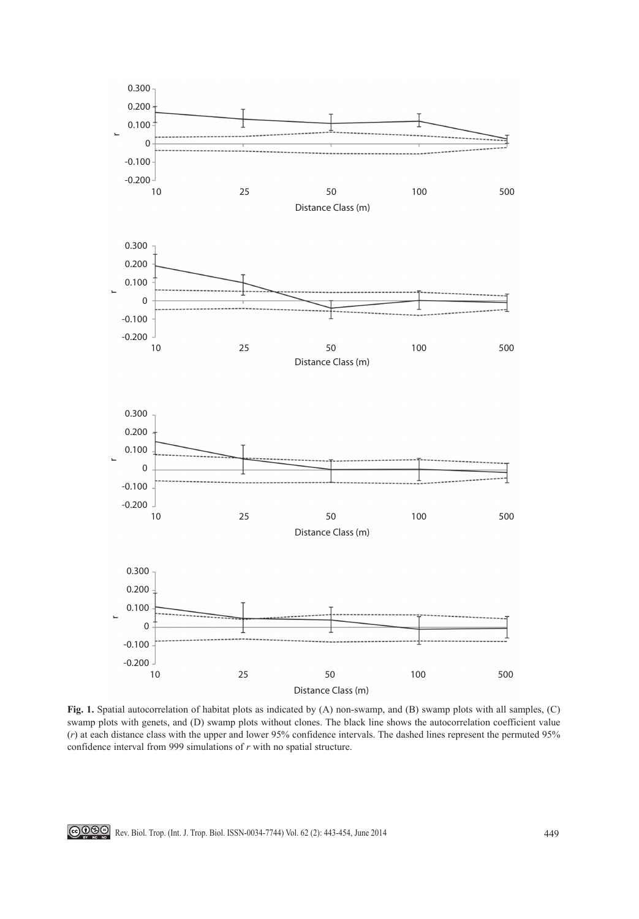

**Fig. 1.** Spatial autocorrelation of habitat plots as indicated by (A) non-swamp, and (B) swamp plots with all samples, (C) swamp plots with genets, and (D) swamp plots without clones. The black line shows the autocorrelation coefficient value (*r*) at each distance class with the upper and lower 95% confidence intervals. The dashed lines represent the permuted 95% confidence interval from 999 simulations of *r* with no spatial structure.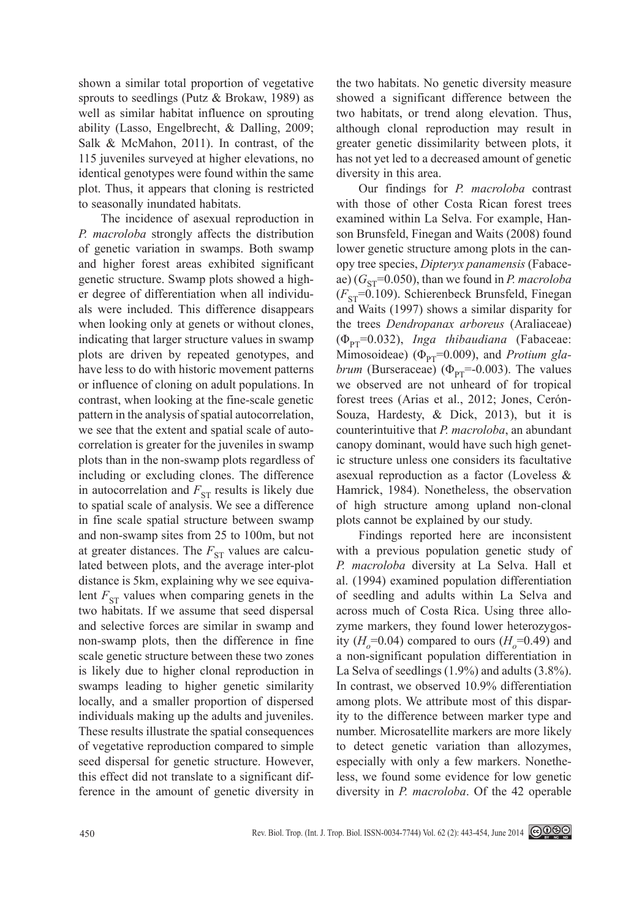shown a similar total proportion of vegetative sprouts to seedlings (Putz & Brokaw, 1989) as well as similar habitat influence on sprouting ability (Lasso, Engelbrecht, & Dalling, 2009; Salk & McMahon, 2011). In contrast, of the 115 juveniles surveyed at higher elevations, no identical genotypes were found within the same plot. Thus, it appears that cloning is restricted to seasonally inundated habitats.

The incidence of asexual reproduction in *P. macroloba* strongly affects the distribution of genetic variation in swamps. Both swamp and higher forest areas exhibited significant genetic structure. Swamp plots showed a higher degree of differentiation when all individuals were included. This difference disappears when looking only at genets or without clones, indicating that larger structure values in swamp plots are driven by repeated genotypes, and have less to do with historic movement patterns or influence of cloning on adult populations. In contrast, when looking at the fine-scale genetic pattern in the analysis of spatial autocorrelation, we see that the extent and spatial scale of autocorrelation is greater for the juveniles in swamp plots than in the non-swamp plots regardless of including or excluding clones. The difference in autocorrelation and  $F_{ST}$  results is likely due to spatial scale of analysis. We see a difference in fine scale spatial structure between swamp and non-swamp sites from 25 to 100m, but not at greater distances. The  $F_{ST}$  values are calculated between plots, and the average inter-plot distance is 5km, explaining why we see equivalent  $F_{ST}$  values when comparing genets in the two habitats. If we assume that seed dispersal and selective forces are similar in swamp and non-swamp plots, then the difference in fine scale genetic structure between these two zones is likely due to higher clonal reproduction in swamps leading to higher genetic similarity locally, and a smaller proportion of dispersed individuals making up the adults and juveniles. These results illustrate the spatial consequences of vegetative reproduction compared to simple seed dispersal for genetic structure. However, this effect did not translate to a significant difference in the amount of genetic diversity in

the two habitats. No genetic diversity measure showed a significant difference between the two habitats, or trend along elevation. Thus, although clonal reproduction may result in greater genetic dissimilarity between plots, it has not yet led to a decreased amount of genetic diversity in this area.

Our findings for *P. macroloba* contrast with those of other Costa Rican forest trees examined within La Selva. For example, Hanson Brunsfeld, Finegan and Waits (2008) found lower genetic structure among plots in the canopy tree species, *Dipteryx panamensis* (Fabaceae)  $(G_{ST} = 0.050)$ , than we found in *P. macroloba*  $(F_{ST} = 0.109)$ . Schierenbeck Brunsfeld, Finegan and Waits (1997) shows a similar disparity for the trees *Dendropanax arboreus* (Araliaceae)  $(\Phi_{PT}=0.032)$ , *Inga thibaudiana* (Fabaceae: Mimosoideae) ( $\Phi_{\text{PT}}$ =0.009), and *Protium glabrum* (Burseraceae) ( $\Phi_{\text{pr}}$ =-0.003). The values we observed are not unheard of for tropical forest trees (Arias et al., 2012; Jones, Cerón-Souza, Hardesty, & Dick, 2013), but it is counterintuitive that *P. macroloba*, an abundant canopy dominant, would have such high genetic structure unless one considers its facultative asexual reproduction as a factor (Loveless & Hamrick, 1984). Nonetheless, the observation of high structure among upland non-clonal plots cannot be explained by our study.

Findings reported here are inconsistent with a previous population genetic study of *P. macroloba* diversity at La Selva. Hall et al. (1994) examined population differentiation of seedling and adults within La Selva and across much of Costa Rica. Using three allozyme markers, they found lower heterozygosity  $(H<sub>o</sub>=0.04)$  compared to ours  $(H<sub>o</sub>=0.49)$  and a non-significant population differentiation in La Selva of seedlings (1.9%) and adults (3.8%). In contrast, we observed 10.9% differentiation among plots. We attribute most of this disparity to the difference between marker type and number. Microsatellite markers are more likely to detect genetic variation than allozymes, especially with only a few markers. Nonetheless, we found some evidence for low genetic diversity in *P. macroloba*. Of the 42 operable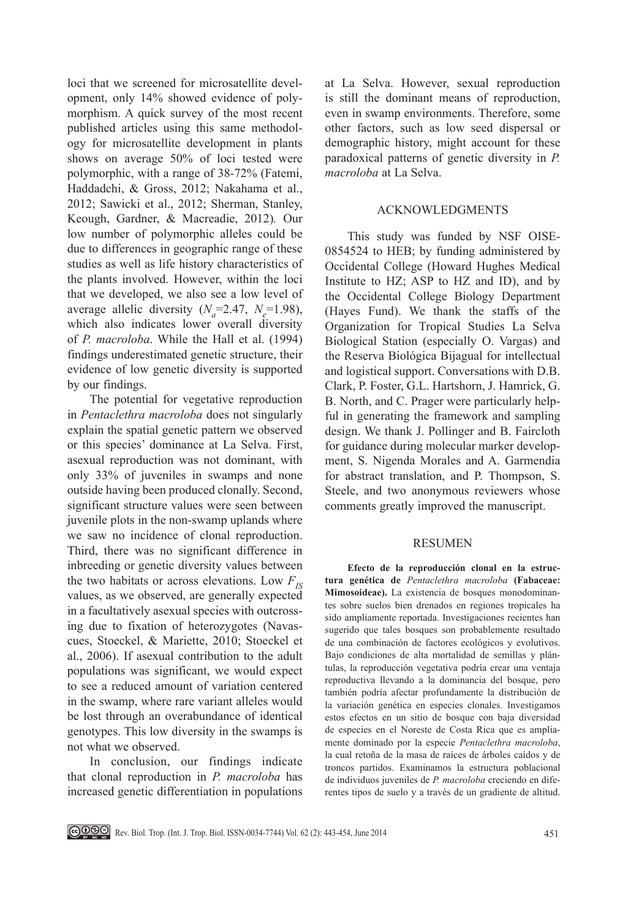loci that we screened for microsatellite development, only 14% showed evidence of polymorphism. A quick survey of the most recent published articles using this same methodology for microsatellite development in plants shows on average 50% of loci tested were polymorphic, with a range of 38-72% (Fatemi, Haddadchi, & Gross, 2012; Nakahama et al., 2012; Sawicki et al., 2012; Sherman, Stanley, Keough, Gardner, & Macreadie, 2012)*.* Our low number of polymorphic alleles could be due to differences in geographic range of these studies as well as life history characteristics of the plants involved. However, within the loci that we developed, we also see a low level of average allelic diversity  $(N_a=2.47, N_e=1.98)$ , which also indicates lower overall diversity of *P. macroloba*. While the Hall et al. (1994) findings underestimated genetic structure, their evidence of low genetic diversity is supported by our findings.

The potential for vegetative reproduction in *Pentaclethra macroloba* does not singularly explain the spatial genetic pattern we observed or this species' dominance at La Selva. First, asexual reproduction was not dominant, with only 33% of juveniles in swamps and none outside having been produced clonally. Second, significant structure values were seen between juvenile plots in the non-swamp uplands where we saw no incidence of clonal reproduction. Third, there was no significant difference in inbreeding or genetic diversity values between the two habitats or across elevations. Low  $F_{IS}$ values, as we observed, are generally expected in a facultatively asexual species with outcrossing due to fixation of heterozygotes (Navascues, Stoeckel, & Mariette, 2010; Stoeckel et al., 2006). If asexual contribution to the adult populations was significant, we would expect to see a reduced amount of variation centered in the swamp, where rare variant alleles would be lost through an overabundance of identical genotypes. This low diversity in the swamps is not what we observed.

In conclusion, our findings indicate that clonal reproduction in *P. macroloba* has increased genetic differentiation in populations

at La Selva. However, sexual reproduction is still the dominant means of reproduction, even in swamp environments. Therefore, some other factors, such as low seed dispersal or demographic history, might account for these paradoxical patterns of genetic diversity in *P. macroloba* at La Selva.

### ACKNOWLEDGMENTS

This study was funded by NSF OISE-0854524 to HEB; by funding administered by Occidental College (Howard Hughes Medical Institute to HZ; ASP to HZ and ID), and by the Occidental College Biology Department (Hayes Fund). We thank the staffs of the Organization for Tropical Studies La Selva Biological Station (especially O. Vargas) and the Reserva Biológica Bijagual for intellectual and logistical support. Conversations with D.B. Clark, P. Foster, G.L. Hartshorn, J. Hamrick, G. B. North, and C. Prager were particularly helpful in generating the framework and sampling design. We thank J. Pollinger and B. Faircloth for guidance during molecular marker development, S. Nigenda Morales and A. Garmendia for abstract translation, and P. Thompson, S. Steele, and two anonymous reviewers whose comments greatly improved the manuscript.

#### RESUMEN

**Efecto de la reproducción clonal en la estructura genética de** *Pentaclethra macroloba* **(Fabaceae: Mimosoideae).** La existencia de bosques monodominantes sobre suelos bien drenados en regiones tropicales ha sido ampliamente reportada. Investigaciones recientes han sugerido que tales bosques son probablemente resultado de una combinación de factores ecológicos y evolutivos. Bajo condiciones de alta mortalidad de semillas y plántulas, la reproducción vegetativa podría crear una ventaja reproductiva llevando a la dominancia del bosque, pero también podría afectar profundamente la distribución de la variación genética en especies clonales. Investigamos estos efectos en un sitio de bosque con baja diversidad de especies en el Noreste de Costa Rica que es ampliamente dominado por la especie *Pentaclethra macroloba*, la cual retoña de la masa de raíces de árboles caídos y de troncos partidos. Examinamos la estructura poblacional de individuos juveniles de *P. macroloba* creciendo en diferentes tipos de suelo y a través de un gradiente de altitud.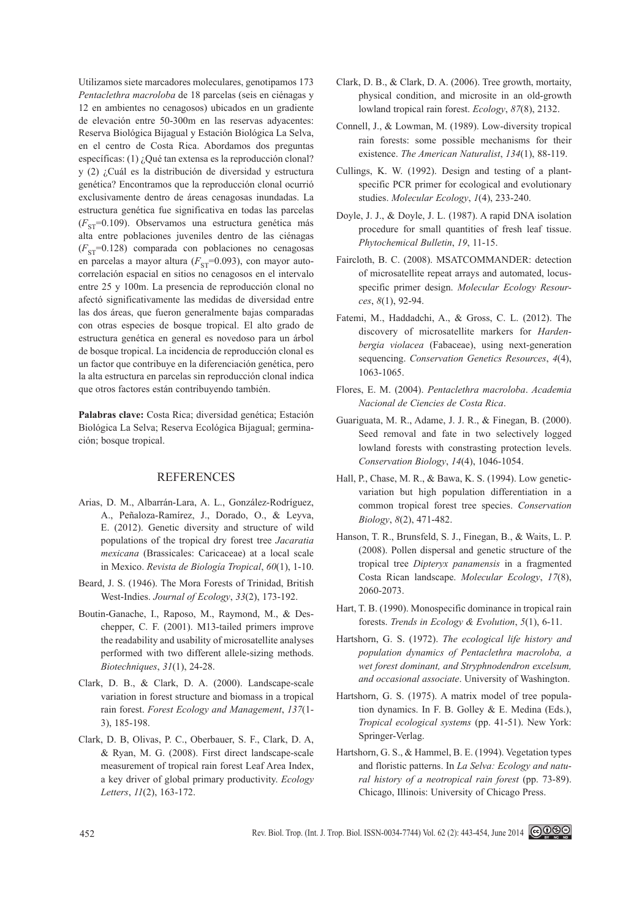Utilizamos siete marcadores moleculares, genotipamos 173 *Pentaclethra macroloba* de 18 parcelas (seis en ciénagas y 12 en ambientes no cenagosos) ubicados en un gradiente de elevación entre 50-300m en las reservas adyacentes: Reserva Biológica Bijagual y Estación Biológica La Selva, en el centro de Costa Rica. Abordamos dos preguntas específicas: (1) ¿Qué tan extensa es la reproducción clonal? y (2) ¿Cuál es la distribución de diversidad y estructura genética? Encontramos que la reproducción clonal ocurrió exclusivamente dentro de áreas cenagosas inundadas. La estructura genética fue significativa en todas las parcelas  $(F_{ST}=0.109)$ . Observamos una estructura genética más alta entre poblaciones juveniles dentro de las ciénagas  $(F_{ST}=0.128)$  comparada con poblaciones no cenagosas en parcelas a mayor altura ( $F_{ST}$ =0.093), con mayor autocorrelación espacial en sitios no cenagosos en el intervalo entre 25 y 100m. La presencia de reproducción clonal no afectó significativamente las medidas de diversidad entre las dos áreas, que fueron generalmente bajas comparadas con otras especies de bosque tropical. El alto grado de estructura genética en general es novedoso para un árbol de bosque tropical. La incidencia de reproducción clonal es un factor que contribuye en la diferenciación genética, pero la alta estructura en parcelas sin reproducción clonal indica que otros factores están contribuyendo también.

**Palabras clave:** Costa Rica; diversidad genética; Estación Biológica La Selva; Reserva Ecológica Bijagual; germinación; bosque tropical.

## REFERENCES

- Arias, D. M., Albarrán-Lara, A. L., González-Rodríguez, A., Peñaloza-Ramírez, J., Dorado, O., & Leyva, E. (2012). Genetic diversity and structure of wild populations of the tropical dry forest tree *Jacaratia mexicana* (Brassicales: Caricaceae) at a local scale in Mexico. *Revista de Biología Tropical*, *60*(1), 1-10.
- Beard, J. S. (1946). The Mora Forests of Trinidad, British West-Indies. *Journal of Ecology*, *33*(2), 173-192.
- Boutin-Ganache, I., Raposo, M., Raymond, M., & Deschepper, C. F. (2001). M13-tailed primers improve the readability and usability of microsatellite analyses performed with two different allele-sizing methods. *Biotechniques*, *31*(1), 24-28.
- Clark, D. B., & Clark, D. A. (2000). Landscape-scale variation in forest structure and biomass in a tropical rain forest. *Forest Ecology and Management*, *137*(1- 3), 185-198.
- Clark, D. B, Olivas, P. C., Oberbauer, S. F., Clark, D. A, & Ryan, M. G. (2008). First direct landscape-scale measurement of tropical rain forest Leaf Area Index, a key driver of global primary productivity. *Ecology Letters*, *11*(2), 163-172.
- Clark, D. B., & Clark, D. A. (2006). Tree growth, mortaity, physical condition, and microsite in an old-growth lowland tropical rain forest. *Ecology*, *87*(8), 2132.
- Connell, J., & Lowman, M. (1989). Low-diversity tropical rain forests: some possible mechanisms for their existence. *The American Naturalist*, *134*(1), 88-119.
- Cullings, K. W. (1992). Design and testing of a plantspecific PCR primer for ecological and evolutionary studies. *Molecular Ecology*, *1*(4), 233-240.
- Doyle, J. J., & Doyle, J. L. (1987). A rapid DNA isolation procedure for small quantities of fresh leaf tissue. *Phytochemical Bulletin*, *19*, 11-15.
- Faircloth, B. C. (2008). MSATCOMMANDER: detection of microsatellite repeat arrays and automated, locusspecific primer design. *Molecular Ecology Resources*, *8*(1), 92-94.
- Fatemi, M., Haddadchi, A., & Gross, C. L. (2012). The discovery of microsatellite markers for *Hardenbergia violacea* (Fabaceae), using next-generation sequencing. *Conservation Genetics Resources*, *4*(4), 1063-1065.
- Flores, E. M. (2004). *Pentaclethra macroloba*. *Academia Nacional de Ciencies de Costa Rica*.
- Guariguata, M. R., Adame, J. J. R., & Finegan, B. (2000). Seed removal and fate in two selectively logged lowland forests with constrasting protection levels. *Conservation Biology*, *14*(4), 1046-1054.
- Hall, P., Chase, M. R., & Bawa, K. S. (1994). Low geneticvariation but high population differentiation in a common tropical forest tree species. *Conservation Biology*, *8*(2), 471-482.
- Hanson, T. R., Brunsfeld, S. J., Finegan, B., & Waits, L. P. (2008). Pollen dispersal and genetic structure of the tropical tree *Dipteryx panamensis* in a fragmented Costa Rican landscape. *Molecular Ecology*, *17*(8), 2060-2073.
- Hart, T. B. (1990). Monospecific dominance in tropical rain forests. *Trends in Ecology & Evolution*, *5*(1), 6-11.
- Hartshorn, G. S. (1972). *The ecological life history and population dynamics of Pentaclethra macroloba, a wet forest dominant, and Stryphnodendron excelsum, and occasional associate*. University of Washington.
- Hartshorn, G. S. (1975). A matrix model of tree population dynamics. In F. B. Golley & E. Medina (Eds.), *Tropical ecological systems* (pp. 41-51). New York: Springer-Verlag.
- Hartshorn, G. S., & Hammel, B. E. (1994). Vegetation types and floristic patterns. In *La Selva: Ecology and natural history of a neotropical rain forest* (pp. 73-89). Chicago, Illinois: University of Chicago Press.

452 Rev. Biol. Trop. (Int. J. Trop. Biol. ISSN-0034-7744) Vol. 62 (2): 443-454, June 2014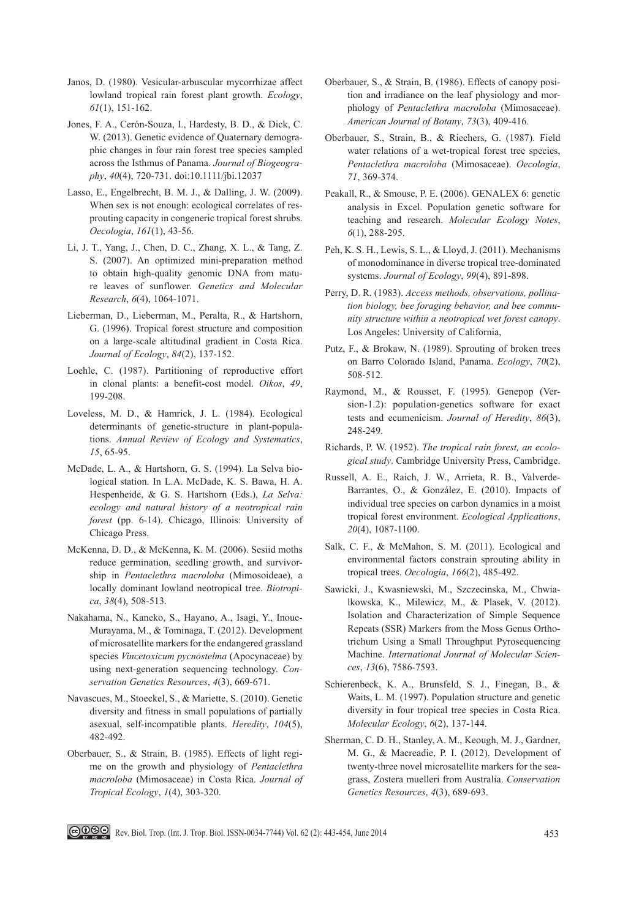- Janos, D. (1980). Vesicular-arbuscular mycorrhizae affect lowland tropical rain forest plant growth. *Ecology*, *61*(1), 151-162.
- Jones, F. A., Cerón-Souza, I., Hardesty, B. D., & Dick, C. W. (2013). Genetic evidence of Quaternary demographic changes in four rain forest tree species sampled across the Isthmus of Panama. *Journal of Biogeography*, *40*(4), 720-731. doi:10.1111/jbi.12037
- Lasso, E., Engelbrecht, B. M. J., & Dalling, J. W. (2009). When sex is not enough: ecological correlates of resprouting capacity in congeneric tropical forest shrubs. *Oecologia*, *161*(1), 43-56.
- Li, J. T., Yang, J., Chen, D. C., Zhang, X. L., & Tang, Z. S. (2007). An optimized mini-preparation method to obtain high-quality genomic DNA from mature leaves of sunflower. *Genetics and Molecular Research*, *6*(4), 1064-1071.
- Lieberman, D., Lieberman, M., Peralta, R., & Hartshorn, G. (1996). Tropical forest structure and composition on a large-scale altitudinal gradient in Costa Rica. *Journal of Ecology*, *84*(2), 137-152.
- Loehle, C. (1987). Partitioning of reproductive effort in clonal plants: a benefit-cost model. *Oikos*, *49*, 199-208.
- Loveless, M. D., & Hamrick, J. L. (1984). Ecological determinants of genetic-structure in plant-populations. *Annual Review of Ecology and Systematics*, *15*, 65-95.
- McDade, L. A., & Hartshorn, G. S. (1994). La Selva biological station. In L.A. McDade, K. S. Bawa, H. A. Hespenheide, & G. S. Hartshorn (Eds.), *La Selva: ecology and natural history of a neotropical rain forest* (pp. 6-14). Chicago, Illinois: University of Chicago Press.
- McKenna, D. D., & McKenna, K. M. (2006). Sesiid moths reduce germination, seedling growth, and survivorship in *Pentaclethra macroloba* (Mimosoideae), a locally dominant lowland neotropical tree. *Biotropica*, *38*(4), 508-513.
- Nakahama, N., Kaneko, S., Hayano, A., Isagi, Y., Inoue-Murayama, M., & Tominaga, T. (2012). Development of microsatellite markers for the endangered grassland species *Vincetoxicum pycnostelma* (Apocynaceae) by using next-generation sequencing technology. *Conservation Genetics Resources*, *4*(3), 669-671.
- Navascues, M., Stoeckel, S., & Mariette, S. (2010). Genetic diversity and fitness in small populations of partially asexual, self-incompatible plants. *Heredity*, *104*(5), 482-492.
- Oberbauer, S., & Strain, B. (1985). Effects of light regime on the growth and physiology of *Pentaclethra macroloba* (Mimosaceae) in Costa Rica. *Journal of Tropical Ecology*, *1*(4), 303-320.
- Oberbauer, S., & Strain, B. (1986). Effects of canopy position and irradiance on the leaf physiology and morphology of *Pentaclethra macroloba* (Mimosaceae). *American Journal of Botany*, *73*(3), 409-416.
- Oberbauer, S., Strain, B., & Riechers, G. (1987). Field water relations of a wet-tropical forest tree species, *Pentaclethra macroloba* (Mimosaceae). *Oecologia*, *71*, 369-374.
- Peakall, R., & Smouse, P. E. (2006). GENALEX 6: genetic analysis in Excel. Population genetic software for teaching and research. *Molecular Ecology Notes*, *6*(1), 288-295.
- Peh, K. S. H., Lewis, S. L., & Lloyd, J. (2011). Mechanisms of monodominance in diverse tropical tree-dominated systems. *Journal of Ecology*, *99*(4), 891-898.
- Perry, D. R. (1983). *Access methods, observations, pollination biology, bee foraging behavior, and bee community structure within a neotropical wet forest canopy*. Los Angeles: University of California,
- Putz, F., & Brokaw, N. (1989). Sprouting of broken trees on Barro Colorado Island, Panama. *Ecology*, *70*(2), 508-512.
- Raymond, M., & Rousset, F. (1995). Genepop (Version-1.2): population-genetics software for exact tests and ecumenicism. *Journal of Heredity*, *86*(3), 248-249.
- Richards, P. W. (1952). *The tropical rain forest, an ecological study*. Cambridge University Press, Cambridge.
- Russell, A. E., Raich, J. W., Arrieta, R. B., Valverde-Barrantes, O., & González, E. (2010). Impacts of individual tree species on carbon dynamics in a moist tropical forest environment. *Ecological Applications*, *20*(4), 1087-1100.
- Salk, C. F., & McMahon, S. M. (2011). Ecological and environmental factors constrain sprouting ability in tropical trees. *Oecologia*, *166*(2), 485-492.
- Sawicki, J., Kwasniewski, M., Szczecinska, M., Chwialkowska, K., Milewicz, M., & Plasek, V. (2012). Isolation and Characterization of Simple Sequence Repeats (SSR) Markers from the Moss Genus Orthotrichum Using a Small Throughput Pyrosequencing Machine. *International Journal of Molecular Sciences*, *13*(6), 7586-7593.
- Schierenbeck, K. A., Brunsfeld, S. J., Finegan, B., & Waits, L. M. (1997). Population structure and genetic diversity in four tropical tree species in Costa Rica. *Molecular Ecology*, *6*(2), 137-144.
- Sherman, C. D. H., Stanley, A. M., Keough, M. J., Gardner, M. G., & Macreadie, P. I. (2012). Development of twenty-three novel microsatellite markers for the seagrass, Zostera muelleri from Australia. *Conservation Genetics Resources*, *4*(3), 689-693.

**COOSO** Rev. Biol. Trop. (Int. J. Trop. Biol. ISSN-0034-7744) Vol. 62 (2): 443-454, June 2014 453